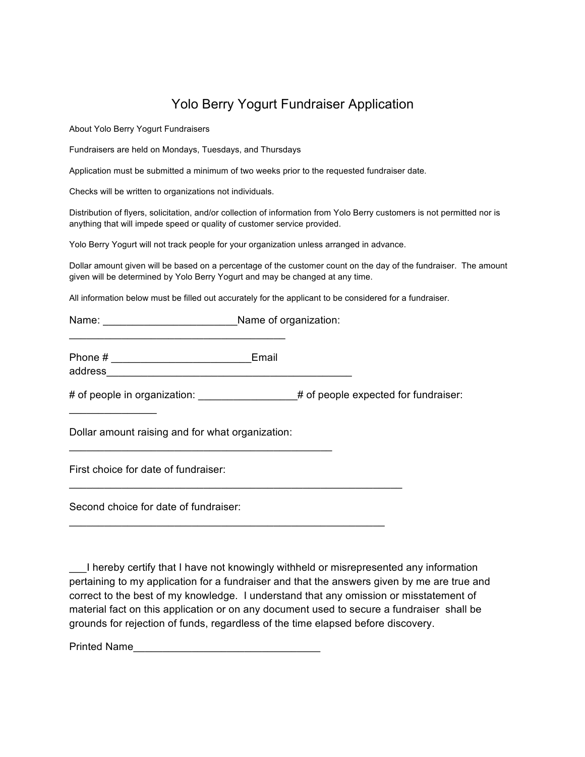## Yolo Berry Yogurt Fundraiser Application

About Yolo Berry Yogurt Fundraisers

Fundraisers are held on Mondays, Tuesdays, and Thursdays

Application must be submitted a minimum of two weeks prior to the requested fundraiser date.

Checks will be written to organizations not individuals.

Distribution of flyers, solicitation, and/or collection of information from Yolo Berry customers is not permitted nor is anything that will impede speed or quality of customer service provided.

Yolo Berry Yogurt will not track people for your organization unless arranged in advance.

Dollar amount given will be based on a percentage of the customer count on the day of the fundraiser. The amount given will be determined by Yolo Berry Yogurt and may be changed at any time.

All information below must be filled out accurately for the applicant to be considered for a fundraiser.

Name: \_\_\_\_\_\_\_\_\_\_\_\_\_\_\_\_\_\_\_\_\_\_\_Name of organization:

Phone # \_\_\_\_\_\_\_\_\_\_\_\_\_\_\_\_\_\_\_\_\_\_\_\_Email

 $\mathcal{L}_\mathcal{L}$  , where  $\mathcal{L}_\mathcal{L}$  , we have the set of the set of the set of the set of the set of the set of the set of the set of the set of the set of the set of the set of the set of the set of the set of the set

# of people in organization:  $\#$  of people expected for fundraiser:

Dollar amount raising and for what organization:

 $\mathcal{L}_\mathcal{L}$  , and the contribution of the contribution of  $\mathcal{L}_\mathcal{L}$ 

\_\_\_\_\_\_\_\_\_\_\_\_\_\_\_\_\_\_\_\_\_\_\_\_\_\_\_\_\_\_\_\_\_\_\_\_\_\_\_\_\_\_\_\_\_\_\_\_\_\_\_\_\_\_\_\_\_

 $\mathcal{L}_\mathcal{L}$  , and the contribution of the contribution of the contribution of the contribution of the contribution of the contribution of the contribution of the contribution of the contribution of the contribution of

First choice for date of fundraiser:

address

 $\mathcal{L}_\text{max}$  , where  $\mathcal{L}_\text{max}$ 

Second choice for date of fundraiser:

\_\_\_I hereby certify that I have not knowingly withheld or misrepresented any information pertaining to my application for a fundraiser and that the answers given by me are true and correct to the best of my knowledge. I understand that any omission or misstatement of material fact on this application or on any document used to secure a fundraiser shall be grounds for rejection of funds, regardless of the time elapsed before discovery.

Printed Name